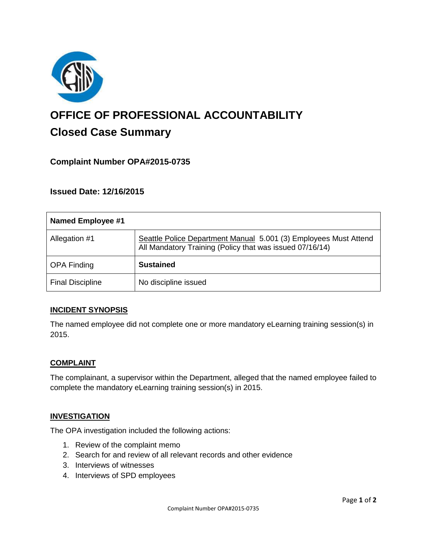

# **OFFICE OF PROFESSIONAL ACCOUNTABILITY Closed Case Summary**

# **Complaint Number OPA#2015-0735**

**Issued Date: 12/16/2015**

| Named Employee #1       |                                                                                                                              |
|-------------------------|------------------------------------------------------------------------------------------------------------------------------|
| Allegation #1           | Seattle Police Department Manual 5.001 (3) Employees Must Attend<br>All Mandatory Training (Policy that was issued 07/16/14) |
| <b>OPA Finding</b>      | <b>Sustained</b>                                                                                                             |
| <b>Final Discipline</b> | No discipline issued                                                                                                         |

#### **INCIDENT SYNOPSIS**

The named employee did not complete one or more mandatory eLearning training session(s) in 2015.

#### **COMPLAINT**

The complainant, a supervisor within the Department, alleged that the named employee failed to complete the mandatory eLearning training session(s) in 2015.

#### **INVESTIGATION**

The OPA investigation included the following actions:

- 1. Review of the complaint memo
- 2. Search for and review of all relevant records and other evidence
- 3. Interviews of witnesses
- 4. Interviews of SPD employees